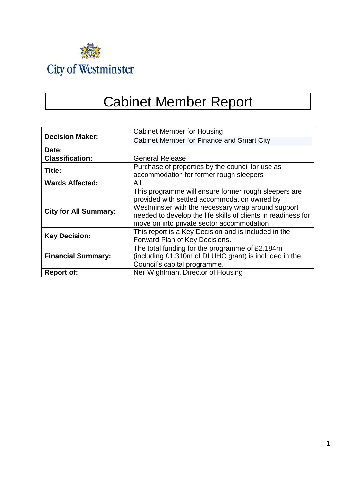

# Cabinet Member Report

|                              | <b>Cabinet Member for Housing</b>                             |  |
|------------------------------|---------------------------------------------------------------|--|
| <b>Decision Maker:</b>       | <b>Cabinet Member for Finance and Smart City</b>              |  |
| Date:                        |                                                               |  |
| <b>Classification:</b>       | <b>General Release</b>                                        |  |
| Title:                       | Purchase of properties by the council for use as              |  |
|                              | accommodation for former rough sleepers                       |  |
| <b>Wards Affected:</b>       | All                                                           |  |
|                              | This programme will ensure former rough sleepers are          |  |
|                              | provided with settled accommodation owned by                  |  |
| <b>City for All Summary:</b> | Westminster with the necessary wrap around support            |  |
|                              | needed to develop the life skills of clients in readiness for |  |
|                              | move on into private sector accommodation                     |  |
| <b>Key Decision:</b>         | This report is a Key Decision and is included in the          |  |
|                              | Forward Plan of Key Decisions.                                |  |
|                              | The total funding for the programme of £2.184m                |  |
| <b>Financial Summary:</b>    | (including £1.310m of DLUHC grant) is included in the         |  |
|                              | Council's capital programme.                                  |  |
| <b>Report of:</b>            | Neil Wightman, Director of Housing                            |  |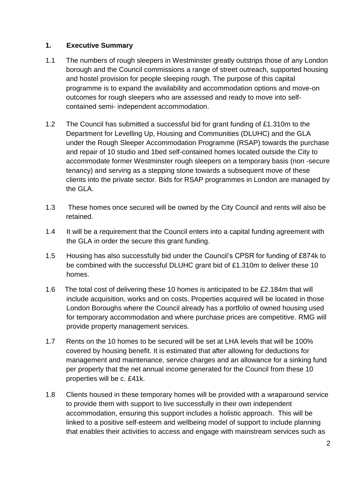#### **1. Executive Summary**

- 1.1 The numbers of rough sleepers in Westminster greatly outstrips those of any London borough and the Council commissions a range of street outreach, supported housing and hostel provision for people sleeping rough. The purpose of this capital programme is to expand the availability and accommodation options and move-on outcomes for rough sleepers who are assessed and ready to move into selfcontained semi- independent accommodation.
- 1.2 The Council has submitted a successful bid for grant funding of £1.310m to the Department for Levelling Up, Housing and Communities (DLUHC) and the GLA under the Rough Sleeper Accommodation Programme (RSAP) towards the purchase and repair of 10 studio and 1bed self-contained homes located outside the City to accommodate former Westminster rough sleepers on a temporary basis (non -secure tenancy) and serving as a stepping stone towards a subsequent move of these clients into the private sector. Bids for RSAP programmes in London are managed by the GLA.
- 1.3 These homes once secured will be owned by the City Council and rents will also be retained.
- 1.4 It will be a requirement that the Council enters into a capital funding agreement with the GLA in order the secure this grant funding.
- 1.5 Housing has also successfully bid under the Council's CPSR for funding of £874k to be combined with the successful DLUHC grant bid of £1.310m to deliver these 10 homes.
- 1.6 The total cost of delivering these 10 homes is anticipated to be £2.184m that will include acquisition, works and on costs. Properties acquired will be located in those London Boroughs where the Council already has a portfolio of owned housing used for temporary accommodation and where purchase prices are competitive. RMG will provide property management services.
- 1.7 Rents on the 10 homes to be secured will be set at LHA levels that will be 100% covered by housing benefit. It is estimated that after allowing for deductions for management and maintenance, service charges and an allowance for a sinking fund per property that the net annual income generated for the Council from these 10 properties will be c. £41k.
- 1.8 Clients housed in these temporary homes will be provided with a wraparound service to provide them with support to live successfully in their own independent accommodation, ensuring this support includes a holistic approach. This will be linked to a positive self-esteem and wellbeing model of support to include planning that enables their activities to access and engage with mainstream services such as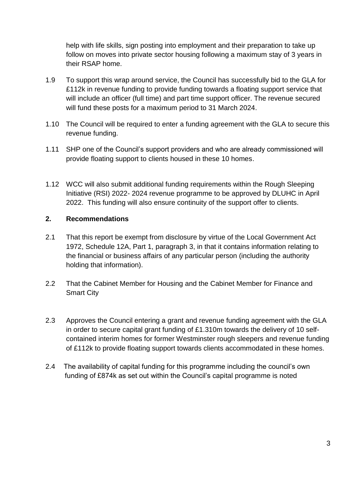help with life skills, sign posting into employment and their preparation to take up follow on moves into private sector housing following a maximum stay of 3 years in their RSAP home.

- 1.9 To support this wrap around service, the Council has successfully bid to the GLA for £112k in revenue funding to provide funding towards a floating support service that will include an officer (full time) and part time support officer. The revenue secured will fund these posts for a maximum period to 31 March 2024.
- 1.10 The Council will be required to enter a funding agreement with the GLA to secure this revenue funding.
- 1.11 SHP one of the Council's support providers and who are already commissioned will provide floating support to clients housed in these 10 homes.
- 1.12 WCC will also submit additional funding requirements within the Rough Sleeping Initiative (RSI) 2022- 2024 revenue programme to be approved by DLUHC in April 2022. This funding will also ensure continuity of the support offer to clients.

#### **2. Recommendations**

- 2.1 That this report be exempt from disclosure by virtue of the Local Government Act 1972, Schedule 12A, Part 1, paragraph 3, in that it contains information relating to the financial or business affairs of any particular person (including the authority holding that information).
- 2.2 That the Cabinet Member for Housing and the Cabinet Member for Finance and Smart City
- 2.3 Approves the Council entering a grant and revenue funding agreement with the GLA in order to secure capital grant funding of £1.310m towards the delivery of 10 selfcontained interim homes for former Westminster rough sleepers and revenue funding of £112k to provide floating support towards clients accommodated in these homes.
- 2.4 The availability of capital funding for this programme including the council's own funding of £874k as set out within the Council's capital programme is noted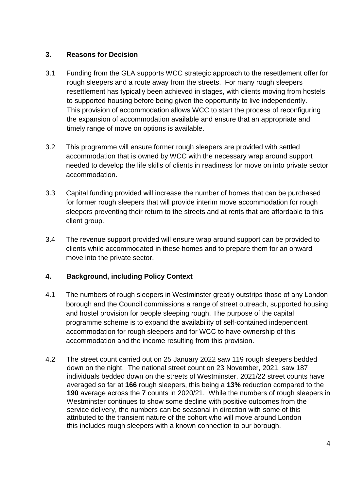## **3. Reasons for Decision**

- 3.1 Funding from the GLA supports WCC strategic approach to the resettlement offer for rough sleepers and a route away from the streets. For many rough sleepers resettlement has typically been achieved in stages, with clients moving from hostels to supported housing before being given the opportunity to live independently. This provision of accommodation allows WCC to start the process of reconfiguring the expansion of accommodation available and ensure that an appropriate and timely range of move on options is available.
- 3.2 This programme will ensure former rough sleepers are provided with settled accommodation that is owned by WCC with the necessary wrap around support needed to develop the life skills of clients in readiness for move on into private sector accommodation.
- 3.3 Capital funding provided will increase the number of homes that can be purchased for former rough sleepers that will provide interim move accommodation for rough sleepers preventing their return to the streets and at rents that are affordable to this client group.
- 3.4 The revenue support provided will ensure wrap around support can be provided to clients while accommodated in these homes and to prepare them for an onward move into the private sector.

# **4. Background, including Policy Context**

- 4.1 The numbers of rough sleepers in Westminster greatly outstrips those of any London borough and the Council commissions a range of street outreach, supported housing and hostel provision for people sleeping rough. The purpose of the capital programme scheme is to expand the availability of self-contained independent accommodation for rough sleepers and for WCC to have ownership of this accommodation and the income resulting from this provision.
- 4.2 The street count carried out on 25 January 2022 saw 119 rough sleepers bedded down on the night. The national street count on 23 November, 2021, saw 187 individuals bedded down on the streets of Westminster. 2021/22 street counts have averaged so far at **166** rough sleepers, this being a **13%** reduction compared to the **190** average across the **7** counts in 2020/21. While the numbers of rough sleepers in Westminster continues to show some decline with positive outcomes from the service delivery, the numbers can be seasonal in direction with some of this attributed to the transient nature of the cohort who will move around London this includes rough sleepers with a known connection to our borough.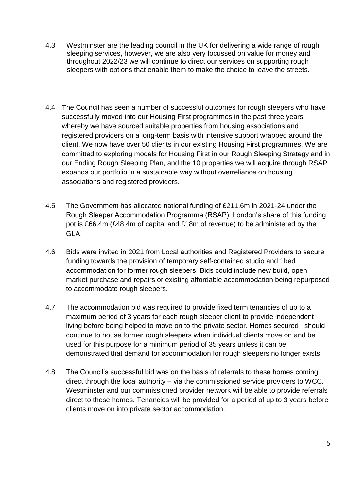- 4.3 Westminster are the leading council in the UK for delivering a wide range of rough sleeping services, however, we are also very focussed on value for money and throughout 2022/23 we will continue to direct our services on supporting rough sleepers with options that enable them to make the choice to leave the streets.
- 4.4 The Council has seen a number of successful outcomes for rough sleepers who have successfully moved into our Housing First programmes in the past three years whereby we have sourced suitable properties from housing associations and registered providers on a long-term basis with intensive support wrapped around the client. We now have over 50 clients in our existing Housing First programmes. We are committed to exploring models for Housing First in our Rough Sleeping Strategy and in our Ending Rough Sleeping Plan, and the 10 properties we will acquire through RSAP expands our portfolio in a sustainable way without overreliance on housing associations and registered providers.
- 4.5 The Government has allocated national funding of £211.6m in 2021-24 under the Rough Sleeper Accommodation Programme (RSAP). London's share of this funding pot is £66.4m (£48.4m of capital and £18m of revenue) to be administered by the GLA.
- 4.6 Bids were invited in 2021 from Local authorities and Registered Providers to secure funding towards the provision of temporary self-contained studio and 1bed accommodation for former rough sleepers. Bids could include new build, open market purchase and repairs or existing affordable accommodation being repurposed to accommodate rough sleepers.
- 4.7 The accommodation bid was required to provide fixed term tenancies of up to a maximum period of 3 years for each rough sleeper client to provide independent living before being helped to move on to the private sector. Homes secured should continue to house former rough sleepers when individual clients move on and be used for this purpose for a minimum period of 35 years unless it can be demonstrated that demand for accommodation for rough sleepers no longer exists.
- 4.8 The Council's successful bid was on the basis of referrals to these homes coming direct through the local authority – via the commissioned service providers to WCC. Westminster and our commissioned provider network will be able to provide referrals direct to these homes. Tenancies will be provided for a period of up to 3 years before clients move on into private sector accommodation.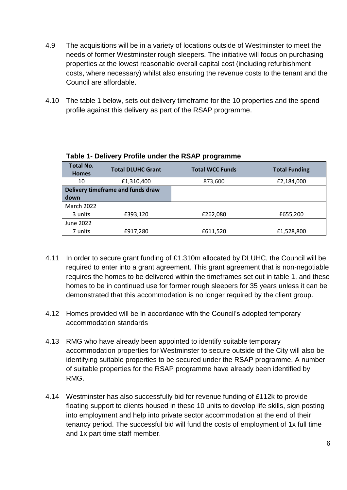- 4.9 The acquisitions will be in a variety of locations outside of Westminster to meet the needs of former Westminster rough sleepers. The initiative will focus on purchasing properties at the lowest reasonable overall capital cost (including refurbishment costs, where necessary) whilst also ensuring the revenue costs to the tenant and the Council are affordable.
- 4.10 The table 1 below, sets out delivery timeframe for the 10 properties and the spend profile against this delivery as part of the RSAP programme.

| <b>Total No.</b><br><b>Homes</b> | <b>Total DLUHC Grant</b>          | <b>Total WCC Funds</b> | <b>Total Funding</b> |
|----------------------------------|-----------------------------------|------------------------|----------------------|
| 10                               | £1,310,400                        | 873,600                | £2,184,000           |
|                                  | Delivery timeframe and funds draw |                        |                      |
| down                             |                                   |                        |                      |
| <b>March 2022</b>                |                                   |                        |                      |
| 3 units                          | £393,120                          | £262,080               | £655,200             |
| June 2022                        |                                   |                        |                      |
| 7 units                          | £917,280                          | £611,520               | £1,528,800           |

#### **Table 1- Delivery Profile under the RSAP programme**

- 4.11 In order to secure grant funding of £1.310m allocated by DLUHC, the Council will be required to enter into a grant agreement. This grant agreement that is non-negotiable requires the homes to be delivered within the timeframes set out in table 1, and these homes to be in continued use for former rough sleepers for 35 years unless it can be demonstrated that this accommodation is no longer required by the client group.
- 4.12 Homes provided will be in accordance with the Council's adopted temporary accommodation standards
- 4.13 RMG who have already been appointed to identify suitable temporary accommodation properties for Westminster to secure outside of the City will also be identifying suitable properties to be secured under the RSAP programme. A number of suitable properties for the RSAP programme have already been identified by RMG.
- 4.14 Westminster has also successfully bid for revenue funding of £112k to provide floating support to clients housed in these 10 units to develop life skills, sign posting into employment and help into private sector accommodation at the end of their tenancy period. The successful bid will fund the costs of employment of 1x full time and 1x part time staff member.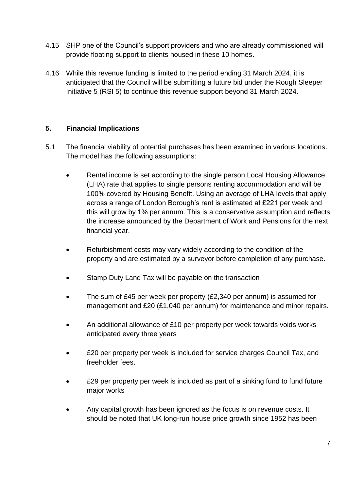- 4.15 SHP one of the Council's support providers and who are already commissioned will provide floating support to clients housed in these 10 homes.
- 4.16 While this revenue funding is limited to the period ending 31 March 2024, it is anticipated that the Council will be submitting a future bid under the Rough Sleeper Initiative 5 (RSI 5) to continue this revenue support beyond 31 March 2024.

#### **5. Financial Implications**

- 5.1 The financial viability of potential purchases has been examined in various locations. The model has the following assumptions:
	- Rental income is set according to the single person Local Housing Allowance (LHA) rate that applies to single persons renting accommodation and will be 100% covered by Housing Benefit. Using an average of LHA levels that apply across a range of London Borough's rent is estimated at £221 per week and this will grow by 1% per annum. This is a conservative assumption and reflects the increase announced by the Department of Work and Pensions for the next financial year.
	- Refurbishment costs may vary widely according to the condition of the property and are estimated by a surveyor before completion of any purchase.
	- Stamp Duty Land Tax will be payable on the transaction
	- The sum of £45 per week per property (£2,340 per annum) is assumed for management and £20 (£1,040 per annum) for maintenance and minor repairs.
	- An additional allowance of £10 per property per week towards voids works anticipated every three years
	- £20 per property per week is included for service charges Council Tax, and freeholder fees.
	- £29 per property per week is included as part of a sinking fund to fund future major works
	- Any capital growth has been ignored as the focus is on revenue costs. It should be noted that UK long-run house price growth since 1952 has been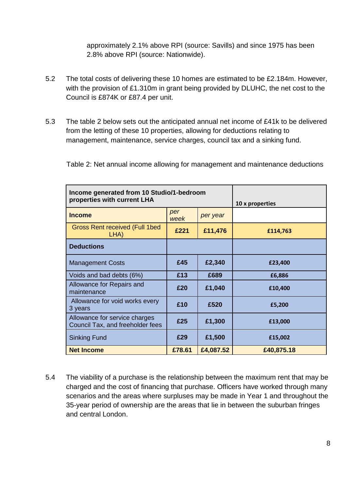approximately 2.1% above RPI (source: Savills) and since 1975 has been 2.8% above RPI (source: Nationwide).

- 5.2 The total costs of delivering these 10 homes are estimated to be £2.184m. However, with the provision of £1.310m in grant being provided by DLUHC, the net cost to the Council is £874K or £87.4 per unit.
- 5.3 The table 2 below sets out the anticipated annual net income of £41k to be delivered from the letting of these 10 properties, allowing for deductions relating to management, maintenance, service charges, council tax and a sinking fund.

Table 2: Net annual income allowing for management and maintenance deductions

| Income generated from 10 Studio/1-bedroom<br>properties with current LHA |             | 10 x properties |            |
|--------------------------------------------------------------------------|-------------|-----------------|------------|
| <b>Income</b>                                                            | per<br>week | per year        |            |
| <b>Gross Rent received (Full 1bed</b><br>LHA)                            | £221        | £11,476         | £114,763   |
| <b>Deductions</b>                                                        |             |                 |            |
| <b>Management Costs</b>                                                  | £45         | £2,340          | £23,400    |
| Voids and bad debts (6%)                                                 | £13         | £689            | £6,886     |
| Allowance for Repairs and<br>maintenance                                 | £20         | £1,040          | £10,400    |
| Allowance for void works every<br>3 years                                | £10         | £520            | £5,200     |
| Allowance for service charges<br>Council Tax, and freeholder fees        | £25         | £1,300          | £13,000    |
| <b>Sinking Fund</b>                                                      | £29         | £1,500          | £15,002    |
| <b>Net Income</b>                                                        | £78.61      | £4,087.52       | £40,875.18 |

5.4 The viability of a purchase is the relationship between the maximum rent that may be charged and the cost of financing that purchase. Officers have worked through many scenarios and the areas where surpluses may be made in Year 1 and throughout the 35-year period of ownership are the areas that lie in between the suburban fringes and central London.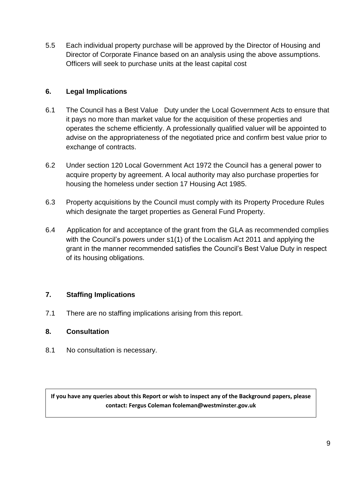5.5 Each individual property purchase will be approved by the Director of Housing and Director of Corporate Finance based on an analysis using the above assumptions. Officers will seek to purchase units at the least capital cost

## **6. Legal Implications**

- 6.1 The Council has a Best Value Duty under the Local Government Acts to ensure that it pays no more than market value for the acquisition of these properties and operates the scheme efficiently. A professionally qualified valuer will be appointed to advise on the appropriateness of the negotiated price and confirm best value prior to exchange of contracts.
- 6.2 Under section 120 Local Government Act 1972 the Council has a general power to acquire property by agreement. A local authority may also purchase properties for housing the homeless under section 17 Housing Act 1985.
- 6.3 Property acquisitions by the Council must comply with its Property Procedure Rules which designate the target properties as General Fund Property.
- 6.4 Application for and acceptance of the grant from the GLA as recommended complies with the Council's powers under s1(1) of the Localism Act 2011 and applying the grant in the manner recommended satisfies the Council's Best Value Duty in respect of its housing obligations.

#### **7. Staffing Implications**

7.1 There are no staffing implications arising from this report.

#### **8. Consultation**

8.1 No consultation is necessary.

**If you have any queries about this Report or wish to inspect any of the Background papers, please contact: Fergus Coleman fcoleman@westminster.gov.uk**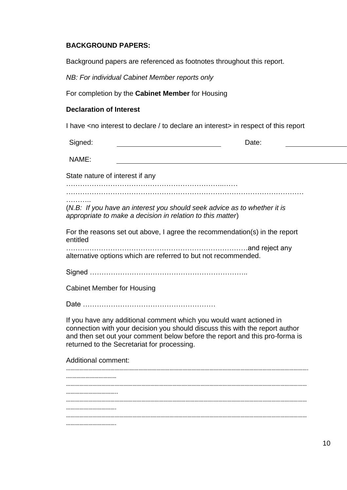#### **BACKGROUND PAPERS:**

Background papers are referenced as footnotes throughout this report.

*NB: For individual Cabinet Member reports only*

For completion by the **Cabinet Member** for Housing

#### **Declaration of Interest**

I have <no interest to declare / to declare an interest> in respect of this report

| Signed:                           | Date:                                                                                                                                                                                                                                                                             |
|-----------------------------------|-----------------------------------------------------------------------------------------------------------------------------------------------------------------------------------------------------------------------------------------------------------------------------------|
| NAME:                             |                                                                                                                                                                                                                                                                                   |
| State nature of interest if any   |                                                                                                                                                                                                                                                                                   |
|                                   |                                                                                                                                                                                                                                                                                   |
|                                   | (N.B: If you have an interest you should seek advice as to whether it is<br>appropriate to make a decision in relation to this matter)                                                                                                                                            |
| entitled                          | For the reasons set out above, I agree the recommendation(s) in the report                                                                                                                                                                                                        |
|                                   | alternative options which are referred to but not recommended.                                                                                                                                                                                                                    |
|                                   |                                                                                                                                                                                                                                                                                   |
| <b>Cabinet Member for Housing</b> |                                                                                                                                                                                                                                                                                   |
|                                   |                                                                                                                                                                                                                                                                                   |
|                                   | If you have any additional comment which you would want actioned in<br>connection with your decision you should discuss this with the report author<br>and then set out your comment below before the report and this pro-forma is<br>returned to the Secretariat for processing. |
| <b>Additional comment:</b>        |                                                                                                                                                                                                                                                                                   |
|                                   |                                                                                                                                                                                                                                                                                   |
|                                   |                                                                                                                                                                                                                                                                                   |
|                                   |                                                                                                                                                                                                                                                                                   |
|                                   |                                                                                                                                                                                                                                                                                   |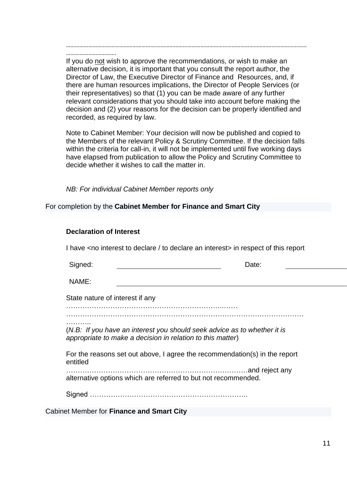……………………………. If you do not wish to approve the recommendations, or wish to make an alternative decision, it is important that you consult the report author, the Director of Law, the Executive Director of Finance and Resources, and, if there are human resources implications, the Director of People Services (or their representatives) so that (1) you can be made aware of any further relevant considerations that you should take into account before making the decision and (2) your reasons for the decision can be properly identified and recorded, as required by law.

………………………………………………….……………………………………………………………………………………………

Note to Cabinet Member: Your decision will now be published and copied to the Members of the relevant Policy & Scrutiny Committee. If the decision falls within the criteria for call-in, it will not be implemented until five working days have elapsed from publication to allow the Policy and Scrutiny Committee to decide whether it wishes to call the matter in.

*NB: For individual Cabinet Member reports only*

For completion by the **Cabinet Member for Finance and Smart City**

| <b>Declaration of Interest</b> |  |
|--------------------------------|--|
|--------------------------------|--|

I have <no interest to declare / to declare an interest> in respect of this report

| Signed:                         |                                                                                                                                        | Date: |
|---------------------------------|----------------------------------------------------------------------------------------------------------------------------------------|-------|
| NAME:                           |                                                                                                                                        |       |
| State nature of interest if any |                                                                                                                                        |       |
|                                 |                                                                                                                                        |       |
| .                               | (N.B: If you have an interest you should seek advice as to whether it is<br>appropriate to make a decision in relation to this matter) |       |
|                                 | For the reasons set out above, I agree the recommendation(s) in the report                                                             |       |
|                                 |                                                                                                                                        |       |
| entitled                        | alternative options which are referred to but not recommended.                                                                         |       |

Cabinet Member for **Finance and Smart City**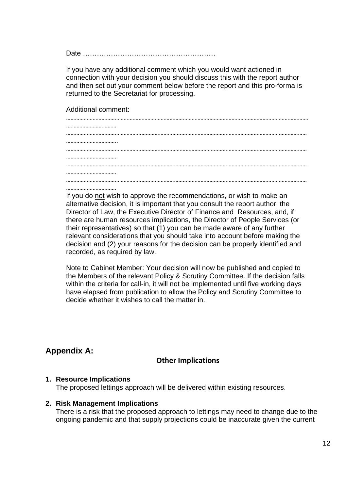Date …………………………………………………

If you have any additional comment which you would want actioned in connection with your decision you should discuss this with the report author and then set out your comment below before the report and this pro-forma is returned to the Secretariat for processing.

Additional comment:

If you do not wish to approve the recommendations, or wish to make an alternative decision, it is important that you consult the report author, the Director of Law, the Executive Director of Finance and Resources, and, if there are human resources implications, the Director of People Services (or their representatives) so that (1) you can be made aware of any further relevant considerations that you should take into account before making the decision and (2) your reasons for the decision can be properly identified and recorded, as required by law.

Note to Cabinet Member: Your decision will now be published and copied to the Members of the relevant Policy & Scrutiny Committee. If the decision falls within the criteria for call-in, it will not be implemented until five working days have elapsed from publication to allow the Policy and Scrutiny Committee to decide whether it wishes to call the matter in.

# **Appendix A:**

#### **Other Implications**

#### **1. Resource Implications**

The proposed lettings approach will be delivered within existing resources.

#### **2. Risk Management Implications**

There is a risk that the proposed approach to lettings may need to change due to the ongoing pandemic and that supply projections could be inaccurate given the current